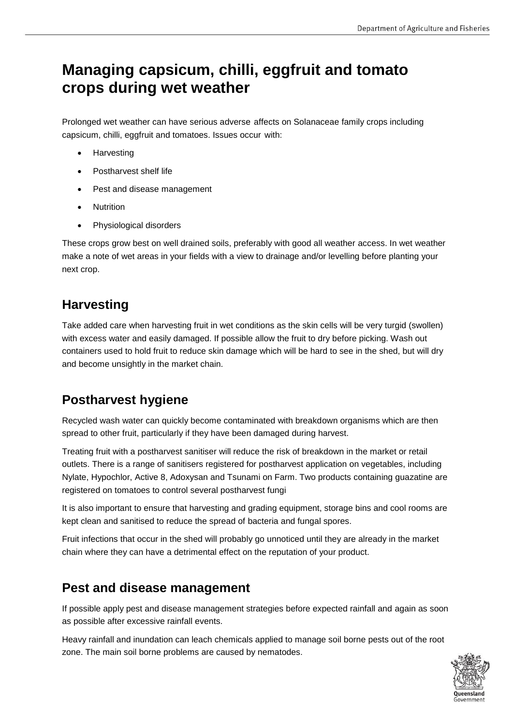# **Managing capsicum, chilli, eggfruit and tomato crops during wet weather**

Prolonged wet weather can have serious adverse affects on Solanaceae family crops including capsicum, chilli, eggfruit and tomatoes. Issues occur with:

- Harvesting
- Postharvest shelf life
- Pest and disease management
- Nutrition
- Physiological disorders

These crops grow best on well drained soils, preferably with good all weather access. In wet weather make a note of wet areas in your fields with a view to drainage and/or levelling before planting your next crop.

## **Harvesting**

Take added care when harvesting fruit in wet conditions as the skin cells will be very turgid (swollen) with excess water and easily damaged. If possible allow the fruit to dry before picking. Wash out containers used to hold fruit to reduce skin damage which will be hard to see in the shed, but will dry and become unsightly in the market chain.

### **Postharvest hygiene**

Recycled wash water can quickly become contaminated with breakdown organisms which are then spread to other fruit, particularly if they have been damaged during harvest.

Treating fruit with a postharvest sanitiser will reduce the risk of breakdown in the market or retail outlets. There is a range of sanitisers registered for postharvest application on vegetables, including Nylate, Hypochlor, Active 8, Adoxysan and Tsunami on Farm. Two products containing guazatine are registered on tomatoes to control several postharvest fungi

It is also important to ensure that harvesting and grading equipment, storage bins and cool rooms are kept clean and sanitised to reduce the spread of bacteria and fungal spores.

Fruit infections that occur in the shed will probably go unnoticed until they are already in the market chain where they can have a detrimental effect on the reputation of your product.

#### **Pest and disease management**

If possible apply pest and disease management strategies before expected rainfall and again as soon as possible after excessive rainfall events.

Heavy rainfall and inundation can leach chemicals applied to manage soil borne pests out of the root zone. The main soil borne problems are caused by nematodes.

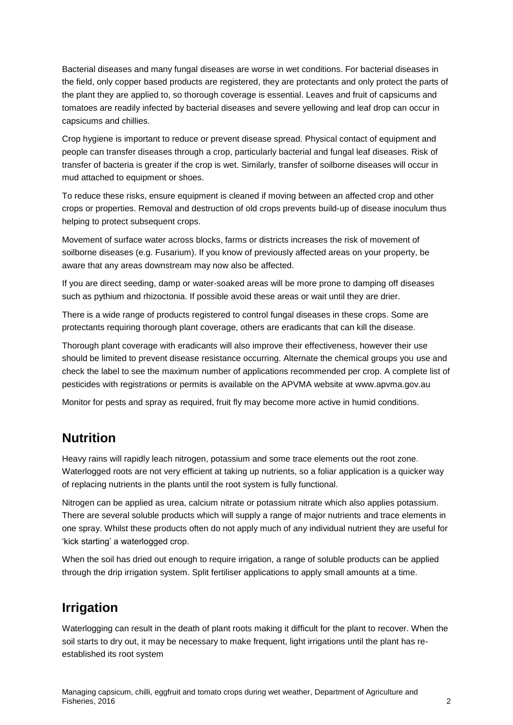Bacterial diseases and many fungal diseases are worse in wet conditions. For bacterial diseases in the field, only copper based products are registered, they are protectants and only protect the parts of the plant they are applied to, so thorough coverage is essential. Leaves and fruit of capsicums and tomatoes are readily infected by bacterial diseases and severe yellowing and leaf drop can occur in capsicums and chillies.

Crop hygiene is important to reduce or prevent disease spread. Physical contact of equipment and people can transfer diseases through a crop, particularly bacterial and fungal leaf diseases. Risk of transfer of bacteria is greater if the crop is wet. Similarly, transfer of soilborne diseases will occur in mud attached to equipment or shoes.

To reduce these risks, ensure equipment is cleaned if moving between an affected crop and other crops or properties. Removal and destruction of old crops prevents build-up of disease inoculum thus helping to protect subsequent crops.

Movement of surface water across blocks, farms or districts increases the risk of movement of soilborne diseases (e.g. Fusarium). If you know of previously affected areas on your property, be aware that any areas downstream may now also be affected.

If you are direct seeding, damp or water-soaked areas will be more prone to damping off diseases such as pythium and rhizoctonia. If possible avoid these areas or wait until they are drier.

There is a wide range of products registered to control fungal diseases in these crops. Some are protectants requiring thorough plant coverage, others are eradicants that can kill the disease.

Thorough plant coverage with eradicants will also improve their effectiveness, however their use should be limited to prevent disease resistance occurring. Alternate the chemical groups you use and check the label to see the maximum number of applications recommended per crop. A complete list of pesticides with registrations or permits is available on the APVMA website at www.apvma.gov.au

Monitor for pests and spray as required, fruit fly may become more active in humid conditions.

#### **Nutrition**

Heavy rains will rapidly leach nitrogen, potassium and some trace elements out the root zone. Waterlogged roots are not very efficient at taking up nutrients, so a foliar application is a quicker way of replacing nutrients in the plants until the root system is fully functional.

Nitrogen can be applied as urea, calcium nitrate or potassium nitrate which also applies potassium. There are several soluble products which will supply a range of major nutrients and trace elements in one spray. Whilst these products often do not apply much of any individual nutrient they are useful for 'kick starting' a waterlogged crop.

When the soil has dried out enough to require irrigation, a range of soluble products can be applied through the drip irrigation system. Split fertiliser applications to apply small amounts at a time.

# **Irrigation**

Waterlogging can result in the death of plant roots making it difficult for the plant to recover. When the soil starts to dry out, it may be necessary to make frequent, light irrigations until the plant has reestablished its root system